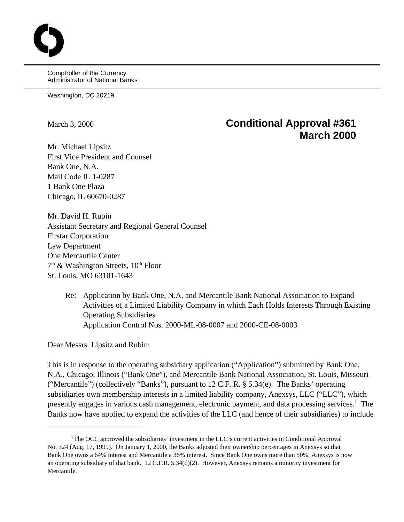Comptroller of the Currency Administrator of National Banks

Washington, DC 20219

# March 3, 2000 **Conditional Approval #361 March 2000**

Mr. Michael Lipsitz First Vice President and Counsel Bank One, N.A. Mail Code IL 1-0287 1 Bank One Plaza Chicago, IL 60670-0287

Mr. David H. Rubin Assistant Secretary and Regional General Counsel Firstar Corporation Law Department One Mercantile Center  $7<sup>th</sup>$  & Washington Streets,  $10<sup>th</sup>$  Floor St. Louis, MO 63101-1643

> Re: Application by Bank One, N.A. and Mercantile Bank National Association to Expand Activities of a Limited Liability Company in which Each Holds Interests Through Existing Operating Subsidiaries Application Control Nos. 2000-ML-08-0007 and 2000-CE-08-0003

Dear Messrs. Lipsitz and Rubin:

This is in response to the operating subsidiary application ("Application") submitted by Bank One, N.A., Chicago, Illinois ("Bank One"), and Mercantile Bank National Association, St. Louis, Missouri ("Mercantile") (collectively "Banks"), pursuant to 12 C.F. R. § 5.34(e). The Banks' operating subsidiaries own membership interests in a limited liability company, Anexsys, LLC ("LLC"), which presently engages in various cash management, electronic payment, and data processing services.<sup>1</sup> The Banks now have applied to expand the activities of the LLC (and hence of their subsidiaries) to include

 $T$ The OCC approved the subsidiaries' investment in the LLC's current activities in Conditional Approval No. 324 (Aug. 17, 1999). On January 1, 2000, the Banks adjusted their ownership percentages in Anexsys so that Bank One owns a 64% interest and Mercantile a 36% interest. Since Bank One owns more than 50%, Anexsys is now an operating subsidiary of that bank. 12 C.F.R. 5.34(d)(2). However, Anexsys remains a minority investment for Mercantile.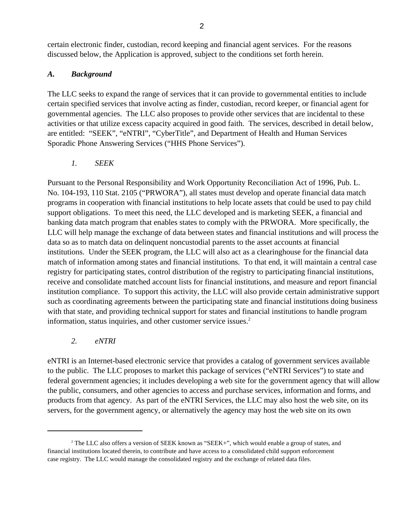certain electronic finder, custodian, record keeping and financial agent services. For the reasons discussed below, the Application is approved, subject to the conditions set forth herein.

# *A. Background*

The LLC seeks to expand the range of services that it can provide to governmental entities to include certain specified services that involve acting as finder, custodian, record keeper, or financial agent for governmental agencies. The LLC also proposes to provide other services that are incidental to these activities or that utilize excess capacity acquired in good faith. The services, described in detail below, are entitled: "SEEK", "eNTRI", "CyberTitle", and Department of Health and Human Services Sporadic Phone Answering Services ("HHS Phone Services").

*1. SEEK*

Pursuant to the Personal Responsibility and Work Opportunity Reconciliation Act of 1996, Pub. L. No. 104-193, 110 Stat. 2105 ("PRWORA"), all states must develop and operate financial data match programs in cooperation with financial institutions to help locate assets that could be used to pay child support obligations. To meet this need, the LLC developed and is marketing SEEK, a financial and banking data match program that enables states to comply with the PRWORA. More specifically, the LLC will help manage the exchange of data between states and financial institutions and will process the data so as to match data on delinquent noncustodial parents to the asset accounts at financial institutions. Under the SEEK program, the LLC will also act as a clearinghouse for the financial data match of information among states and financial institutions. To that end, it will maintain a central case registry for participating states, control distribution of the registry to participating financial institutions, receive and consolidate matched account lists for financial institutions, and measure and report financial institution compliance. To support this activity, the LLC will also provide certain administrative support such as coordinating agreements between the participating state and financial institutions doing business with that state, and providing technical support for states and financial institutions to handle program information, status inquiries, and other customer service issues.<sup>2</sup>

*2. eNTRI*

eNTRI is an Internet-based electronic service that provides a catalog of government services available to the public. The LLC proposes to market this package of services ("eNTRI Services") to state and federal government agencies; it includes developing a web site for the government agency that will allow the public, consumers, and other agencies to access and purchase services, information and forms, and products from that agency. As part of the eNTRI Services, the LLC may also host the web site, on its servers, for the government agency, or alternatively the agency may host the web site on its own

 $2$  The LLC also offers a version of SEEK known as "SEEK+", which would enable a group of states, and financial institutions located therein, to contribute and have access to a consolidated child support enforcement case registry. The LLC would manage the consolidated registry and the exchange of related data files.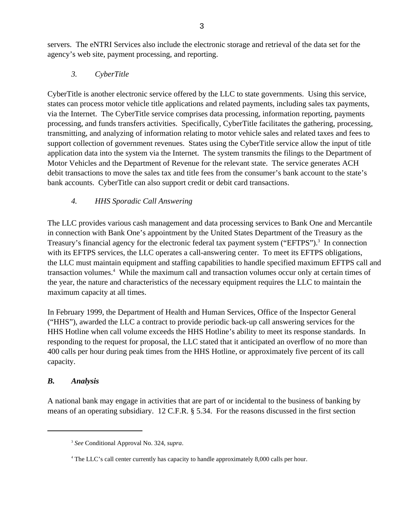servers. The eNTRI Services also include the electronic storage and retrieval of the data set for the agency's web site, payment processing, and reporting.

## *3. CyberTitle*

CyberTitle is another electronic service offered by the LLC to state governments. Using this service, states can process motor vehicle title applications and related payments, including sales tax payments, via the Internet. The CyberTitle service comprises data processing, information reporting, payments processing, and funds transfers activities. Specifically, CyberTitle facilitates the gathering, processing, transmitting, and analyzing of information relating to motor vehicle sales and related taxes and fees to support collection of government revenues. States using the CyberTitle service allow the input of title application data into the system via the Internet. The system transmits the filings to the Department of Motor Vehicles and the Department of Revenue for the relevant state. The service generates ACH debit transactions to move the sales tax and title fees from the consumer's bank account to the state's bank accounts. CyberTitle can also support credit or debit card transactions.

# *4. HHS Sporadic Call Answering*

The LLC provides various cash management and data processing services to Bank One and Mercantile in connection with Bank One's appointment by the United States Department of the Treasury as the Treasury's financial agency for the electronic federal tax payment system ("EFTPS").<sup>3</sup> In connection with its EFTPS services, the LLC operates a call-answering center. To meet its EFTPS obligations, the LLC must maintain equipment and staffing capabilities to handle specified maximum EFTPS call and transaction volumes.<sup>4</sup> While the maximum call and transaction volumes occur only at certain times of the year, the nature and characteristics of the necessary equipment requires the LLC to maintain the maximum capacity at all times.

In February 1999, the Department of Health and Human Services, Office of the Inspector General ("HHS"), awarded the LLC a contract to provide periodic back-up call answering services for the HHS Hotline when call volume exceeds the HHS Hotline's ability to meet its response standards. In responding to the request for proposal, the LLC stated that it anticipated an overflow of no more than 400 calls per hour during peak times from the HHS Hotline, or approximately five percent of its call capacity.

## *B. Analysis*

A national bank may engage in activities that are part of or incidental to the business of banking by means of an operating subsidiary. 12 C.F.R. § 5.34. For the reasons discussed in the first section

*See* Conditional Approval No. 324, *supra*. 3

<sup>&</sup>lt;sup>4</sup> The LLC's call center currently has capacity to handle approximately 8,000 calls per hour.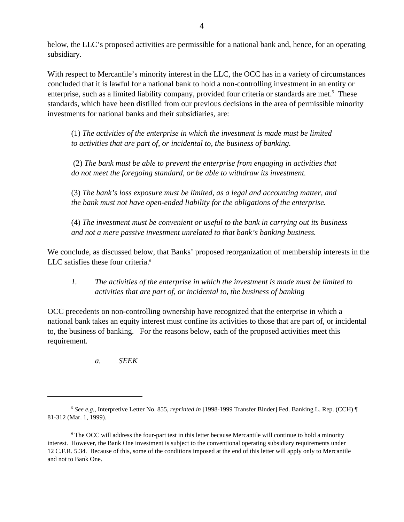below, the LLC's proposed activities are permissible for a national bank and, hence, for an operating subsidiary.

With respect to Mercantile's minority interest in the LLC, the OCC has in a variety of circumstances concluded that it is lawful for a national bank to hold a non-controlling investment in an entity or enterprise, such as a limited liability company, provided four criteria or standards are met.<sup>5</sup> These standards, which have been distilled from our previous decisions in the area of permissible minority investments for national banks and their subsidiaries, are:

(1) *The activities of the enterprise in which the investment is made must be limited to activities that are part of, or incidental to, the business of banking.* 

 (2) *The bank must be able to prevent the enterprise from engaging in activities that do not meet the foregoing standard, or be able to withdraw its investment.* 

(3) *The bank's loss exposure must be limited, as a legal and accounting matter, and the bank must not have open-ended liability for the obligations of the enterprise.* 

(4) *The investment must be convenient or useful to the bank in carrying out its business and not a mere passive investment unrelated to that bank's banking business.* 

We conclude, as discussed below, that Banks' proposed reorganization of membership interests in the LLC satisfies these four criteria.<sup>6</sup>

*1. The activities of the enterprise in which the investment is made must be limited to activities that are part of, or incidental to, the business of banking*

OCC precedents on non-controlling ownership have recognized that the enterprise in which a national bank takes an equity interest must confine its activities to those that are part of, or incidental to, the business of banking. For the reasons below, each of the proposed activities meet this requirement.

*a. SEEK*

*See e.g.*, Interpretive Letter No. 855, *reprinted in* [1998-1999 Transfer Binder] Fed. Banking L. Rep. (CCH) ¶ <sup>5</sup> 81-312 (Mar. 1, 1999).

<sup>&</sup>lt;sup>6</sup> The OCC will address the four-part test in this letter because Mercantile will continue to hold a minority interest. However, the Bank One investment is subject to the conventional operating subsidiary requirements under 12 C.F.R. 5.34. Because of this, some of the conditions imposed at the end of this letter will apply only to Mercantile and not to Bank One.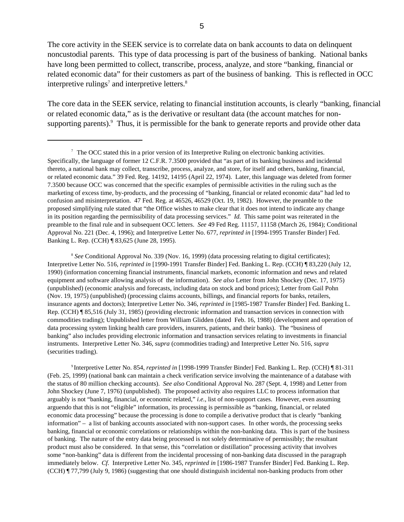The core activity in the SEEK service is to correlate data on bank accounts to data on delinquent noncustodial parents. This type of data processing is part of the business of banking. National banks have long been permitted to collect, transcribe, process, analyze, and store "banking, financial or related economic data" for their customers as part of the business of banking. This is reflected in OCC interpretive rulings<sup>7</sup> and interpretive letters.<sup>8</sup>

The core data in the SEEK service, relating to financial institution accounts, is clearly "banking, financial or related economic data," as is the derivative or resultant data (the account matches for nonsupporting parents).<sup>9</sup> Thus, it is permissible for the bank to generate reports and provide other data

<sup>8</sup> See Conditional Approval No. 339 (Nov. 16, 1999) (data processing relating to digital certificates); Interpretive Letter No. 516, *reprinted in* [1990-1991 Transfer Binder] Fed. Banking L. Rep. (CCH) ¶ 83,220 (July 12, 1990) (information concerning financial instruments, financial markets, economic information and news and related equipment and software allowing analysis of the information). *See also* Letter from John Shockey (Dec. 17, 1975) (unpublished) (economic analysis and forecasts, including data on stock and bond prices); Letter from Gail Pohn (Nov. 19, 1975) (unpublished) (processing claims accounts, billings, and financial reports for banks, retailers, insurance agents and doctors); Interpretive Letter No. 346, *reprinted in* [1985-1987 Transfer Binder] Fed. Banking L. Rep. (CCH) ¶ 85,516 (July 31, 1985) (providing electronic information and transaction services in connection with commodities trading); Unpublished letter from William Glidden (dated Feb. 16, 1988) (development and operation of data processing system linking health care providers, insurers, patients, and their banks). The "business of banking" also includes providing electronic information and transaction services relating to investments in financial instruments. Interpretive Letter No. 346, *supra* (commodities trading) and Interpretive Letter No. 516, *supra* (securities trading).

<sup>9</sup> Interpretive Letter No. 854, *reprinted in* [1998-1999 Transfer Binder] Fed. Banking L. Rep. (CCH) ¶ 81-311 (Feb. 25, 1999) (national bank can maintain a check verification service involving the maintenance of a database with the status of 80 million checking accounts). *See also* Conditional Approval No. 287 (Sept. 4, 1998) and Letter from John Shockey (June 7, 1976) (unpublished). The proposed activity also requires LLC to process information that arguably is not "banking, financial, or economic related," *i.e.,* list of non-support cases. However, even assuming arguendo that this is not "eligible" information, its processing is permissible as "banking, financial, or related economic data processing" because the processing is done to compile a derivative product that is clearly "banking information" – a list of banking accounts associated with non-support cases. In other words, the processing seeks banking, financial or economic correlations or relationships within the non-banking data. This is part of the business of banking. The nature of the entry data being processed is not solely determinative of permissibly; the resultant product must also be considered. In that sense, this "correlation or distillation" processing activity that involves some "non-banking" data is different from the incidental processing of non-banking data discussed in the paragraph immediately below. *Cf.* Interpretive Letter No. 345, *reprinted in* [1986-1987 Transfer Binder] Fed. Banking L. Rep. (CCH) ¶ 77,799 (July 9, 1986) (suggesting that one should distinguish incidental non-banking products from other

 $\frac{7}{10}$  The OCC stated this in a prior version of its Interpretive Ruling on electronic banking activities. Specifically, the language of former 12 C.F.R. 7.3500 provided that "as part of its banking business and incidental thereto, a national bank may collect, transcribe, process, analyze, and store, for itself and others, banking, financial, or related economic data." 39 Fed. Reg. 14192, 14195 (April 22, 1974). Later, this language was deleted from former 7.3500 because OCC was concerned that the specific examples of permissible activities in the ruling such as the marketing of excess time, by-products, and the processing of "banking, financial or related economic data" had led to confusion and misinterpretation. 47 Fed. Reg. at 46526, 46529 (Oct. 19, 1982). However, the preamble to the proposed simplifying rule stated that "the Office wishes to make clear that it does not intend to indicate any change in its position regarding the permissibility of data processing services." *Id.* This same point was reiterated in the preamble to the final rule and in subsequent OCC letters. *See* 49 Fed Reg. 11157, 11158 (March 26, 1984); Conditional Approval No. 221 (Dec. 4, 1996); and Interpretive Letter No. 677, *reprinted in* [1994-1995 Transfer Binder] Fed. Banking L. Rep. (CCH) ¶ 83,625 (June 28, 1995).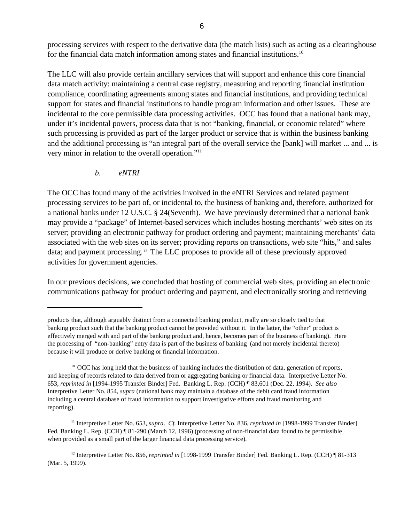processing services with respect to the derivative data (the match lists) such as acting as a clearinghouse for the financial data match information among states and financial institutions.<sup>10</sup>

The LLC will also provide certain ancillary services that will support and enhance this core financial data match activity: maintaining a central case registry, measuring and reporting financial institution compliance, coordinating agreements among states and financial institutions, and providing technical support for states and financial institutions to handle program information and other issues. These are incidental to the core permissible data processing activities. OCC has found that a national bank may, under it's incidental powers, process data that is not "banking, financial, or economic related" where such processing is provided as part of the larger product or service that is within the business banking and the additional processing is "an integral part of the overall service the [bank] will market ... and ... is very minor in relation to the overall operation."<sup>11</sup>

*b. eNTRI*

The OCC has found many of the activities involved in the eNTRI Services and related payment processing services to be part of, or incidental to, the business of banking and, therefore, authorized for a national banks under 12 U.S.C. § 24(Seventh). We have previously determined that a national bank may provide a "package" of Internet-based services which includes hosting merchants' web sites on its server; providing an electronic pathway for product ordering and payment; maintaining merchants' data associated with the web sites on its server; providing reports on transactions, web site "hits," and sales data; and payment processing.  $12$  The LLC proposes to provide all of these previously approved activities for government agencies.

In our previous decisions, we concluded that hosting of commercial web sites, providing an electronic communications pathway for product ordering and payment, and electronically storing and retrieving

products that, although arguably distinct from a connected banking product, really are so closely tied to that banking product such that the banking product cannot be provided without it. In the latter, the "other" product is effectively merged with and part of the banking product and, hence, becomes part of the business of banking). Here the processing of "non-banking" entry data is part of the business of banking (and not merely incidental thereto) because it will produce or derive banking or financial information.

 $^{10}$  OCC has long held that the business of banking includes the distribution of data, generation of reports, and keeping of records related to data derived from or aggregating banking or financial data. Interpretive Letter No. 653, *reprinted in* [1994-1995 Transfer Binder] Fed. Banking L. Rep. (CCH) ¶ 83,601 (Dec. 22, 1994). *See also* Interpretive Letter No. 854, *supra* (national bank may maintain a database of the debit card fraud information including a central database of fraud information to support investigative efforts and fraud monitoring and reporting).

<sup>&</sup>lt;sup>11</sup> Interpretive Letter No. 653, *supra. Cf.* Interpretive Letter No. 836, *reprinted in* [1998-1999 Transfer Binder] Fed. Banking L. Rep. (CCH) ¶ 81-290 (March 12, 1996) (processing of non-financial data found to be permissible when provided as a small part of the larger financial data processing service).

<sup>&</sup>lt;sup>12</sup> Interpretive Letter No. 856, *reprinted in* [1998-1999 Transfer Binder] Fed. Banking L. Rep. (CCH) ¶ 81-313 (Mar. 5, 1999).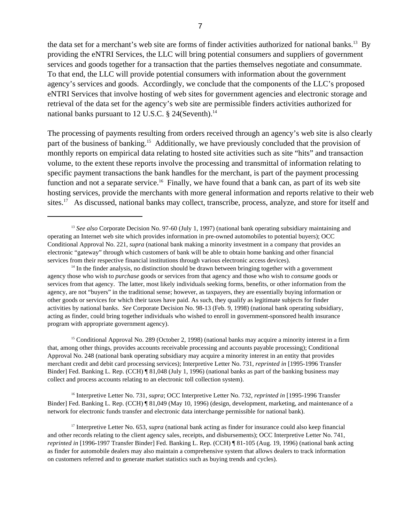the data set for a merchant's web site are forms of finder activities authorized for national banks.<sup>13</sup> By providing the eNTRI Services, the LLC will bring potential consumers and suppliers of government services and goods together for a transaction that the parties themselves negotiate and consummate. To that end, the LLC will provide potential consumers with information about the government agency's services and goods. Accordingly, we conclude that the components of the LLC's proposed eNTRI Services that involve hosting of web sites for government agencies and electronic storage and retrieval of the data set for the agency's web site are permissible finders activities authorized for national banks pursuant to 12 U.S.C.  $\S$  24(Seventh).<sup>14</sup>

The processing of payments resulting from orders received through an agency's web site is also clearly part of the business of banking.<sup>15</sup> Additionally, we have previously concluded that the provision of monthly reports on empirical data relating to hosted site activities such as site "hits" and transaction volume, to the extent these reports involve the processing and transmittal of information relating to specific payment transactions the bank handles for the merchant, is part of the payment processing function and not a separate service.<sup>16</sup> Finally, we have found that a bank can, as part of its web site hosting services, provide the merchants with more general information and reports relative to their web sites.<sup>17</sup> As discussed, national banks may collect, transcribe, process, analyze, and store for itself and

 $14$  In the finder analysis, no distinction should be drawn between bringing together with a government agency those who wish to *purchase* goods or services from that agency and those who wish to *consume* goods or services from that agency. The latter, most likely individuals seeking forms, benefits, or other information from the agency, are not "buyers" in the traditional sense; however, as taxpayers, they are essentially buying information or other goods or services for which their taxes have paid. As such, they qualify as legitimate subjects for finder activities by national banks. *See* Corporate Decision No. 98-13 (Feb. 9, 1998) (national bank operating subsidiary, acting as finder, could bring together individuals who wished to enroll in government-sponsored health insurance program with appropriate government agency).

 $<sup>15</sup>$  Conditional Approval No. 289 (October 2, 1998) (national banks may acquire a minority interest in a firm</sup> that, among other things, provides accounts receivable processing and accounts payable processing); Conditional Approval No. 248 (national bank operating subsidiary may acquire a minority interest in an entity that provides merchant credit and debit card processing services); Interpretive Letter No. 731, *reprinted in* [1995-1996 Transfer Binder] Fed. Banking L. Rep. (CCH) ¶ 81,048 (July 1, 1996) (national banks as part of the banking business may collect and process accounts relating to an electronic toll collection system).

<sup>16</sup> Interpretive Letter No. 731, *supra*; OCC Interpretive Letter No. 732, *reprinted in* [1995-1996 Transfer Binder] Fed. Banking L. Rep. (CCH) ¶ 81,049 (May 10, 1996) (design, development, marketing, and maintenance of a network for electronic funds transfer and electronic data interchange permissible for national bank).

<sup>17</sup> Interpretive Letter No. 653, *supra* (national bank acting as finder for insurance could also keep financial and other records relating to the client agency sales, receipts, and disbursements); OCC Interpretive Letter No. 741, *reprinted in* [1996-1997 Transfer Binder] Fed. Banking L. Rep. (CCH) ¶ 81-105 (Aug. 19, 1996) (national bank acting as finder for automobile dealers may also maintain a comprehensive system that allows dealers to track information on customers referred and to generate market statistics such as buying trends and cycles).

<sup>&</sup>lt;sup>13</sup> See also Corporate Decision No. 97-60 (July 1, 1997) (national bank operating subsidiary maintaining and operating an Internet web site which provides information in pre-owned automobiles to potential buyers); OCC Conditional Approval No. 221, *supra* (national bank making a minority investment in a company that provides an electronic "gateway" through which customers of bank will be able to obtain home banking and other financial services from their respective financial institutions through various electronic access devices).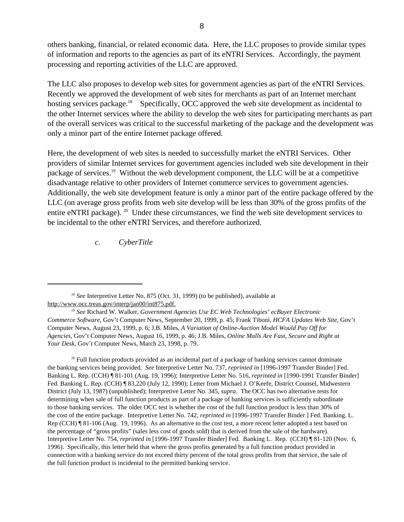others banking, financial, or related economic data. Here, the LLC proposes to provide similar types of information and reports to the agencies as part of its eNTRI Services. Accordingly, the payment processing and reporting activities of the LLC are approved.

The LLC also proposes to develop web sites for government agencies as part of the eNTRI Services. Recently we approved the development of web sites for merchants as part of an Internet merchant hosting services package.<sup>18</sup> Specifically, OCC approved the web site development as incidental to the other Internet services where the ability to develop the web sites for participating merchants as part of the overall services was critical to the successful marketing of the package and the development was only a minor part of the entire Internet package offered.

Here, the development of web sites is needed to successfully market the eNTRI Services. Other providers of similar Internet services for government agencies included web site development in their package of services.<sup>19</sup> Without the web development component, the LLC will be at a competitive disadvantage relative to other providers of Internet commerce services to government agencies. Additionally, the web site development feature is only a minor part of the entire package offered by the LLC (on average gross profits from web site develop will be less than 30% of the gross profits of the entire eNTRI package). <sup>20</sup> Under these circumstances, we find the web site development services to be incidental to the other eNTRI Services, and therefore authorized.

*c. CyberTitle*

 $20$  Full function products provided as an incidental part of a package of banking services cannot dominate the banking services being provided. *See* Interpretive Letter No. 737, *reprinted in* [1996-1997 Transfer Binder] Fed. Banking L. Rep. (CCH) ¶ 81-101 (Aug. 19, 1996); Interpretive Letter No. 516, *reprinted in* [1990-1991 Transfer Binder] Fed. Banking L. Rep. (CCH) ¶ 83,220 (July 12, 1990); Letter from Michael J. O'Keefe, District Counsel, Midwestern District (July 13, 1987) (unpublished); Interpretive Letter No. 345, *supra*. The OCC has two alternative tests for determining when sale of full function products as part of a package of banking services is sufficiently subordinate to those banking services. The older OCC test is whether the cost of the full function product is less than 30% of the cost of the entire package. Interpretive Letter No. 742, *reprinted in* [1996-1997 Transfer Binder ] Fed. Banking. L. Rep (CCH) ¶ 81-106 (Aug. 19, 1996). As an alternative to the cost test, a more recent letter adopted a test based on the percentage of "gross profits" (sales less cost of goods sold) that is derived from the sale of the hardware). Interpretive Letter No. 754, *reprinted in* [1996-1997 Transfer Binder] Fed. Banking L. Rep. (CCH) ¶ 81-120 (Nov. 6, 1996). Specifically, this letter held that where the gross profits generated by a full function product provided in connection with a banking service do not exceed thirty percent of the total gross profits from that service, the sale of the full function product is incidental to the permitted banking service.

<sup>&</sup>lt;sup>18</sup> See Interpretive Letter No. 875 (Oct. 31, 1999) (to be published), available at http://www.occ.treas.gov/interp/jan00/int875.pdf.

<sup>&</sup>lt;sup>19</sup> See Richard W. Walker, *Government Agencies Use EC Web Technologies' ecBuyer Electronic Commerce Software*, Gov't Computer News, September 20, 1999, p. 45; Frank Tiboni, *HCFA Updates Web Site*, Gov't Computer News, August 23, 1999, p. 6; J.B. Miles, *A Variation of Online-Auction Model Would Pay Off for Agencies*, Gov't Computer News, August 16, 1999, p. 46; J.B. Miles, *Online Malls Are Fast, Secure and Right at Your Desk*, Gov't Computer News, March 23, 1998, p. 79.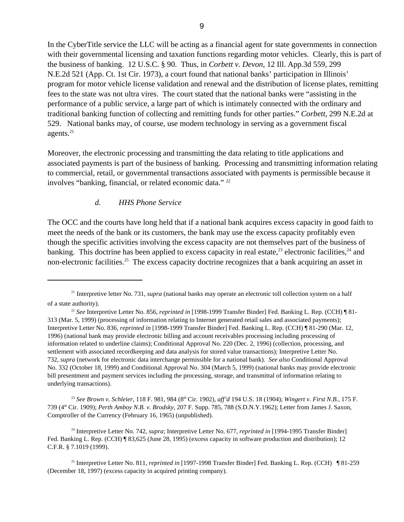In the CyberTitle service the LLC will be acting as a financial agent for state governments in connection with their governmental licensing and taxation functions regarding motor vehicles. Clearly, this is part of the business of banking. 12 U.S.C. § 90. Thus, in *Corbett v. Devon*, 12 Ill. App.3d 559, 299 N.E.2d 521 (App. Ct. 1st Cir. 1973), a court found that national banks' participation in Illinois' program for motor vehicle license validation and renewal and the distribution of license plates, remitting fees to the state was not ultra vires. The court stated that the national banks were "assisting in the performance of a public service, a large part of which is intimately connected with the ordinary and traditional banking function of collecting and remitting funds for other parties." *Corbett*, 299 N.E.2d at 529. National banks may, of course, use modern technology in serving as a government fiscal agents. $21$ 

Moreover, the electronic processing and transmitting the data relating to title applications and associated payments is part of the business of banking. Processing and transmitting information relating to commercial, retail, or governmental transactions associated with payments is permissible because it involves "banking, financial, or related economic data." <sup>22</sup>

#### *d. HHS Phone Service*

The OCC and the courts have long held that if a national bank acquires excess capacity in good faith to meet the needs of the bank or its customers, the bank may use the excess capacity profitably even though the specific activities involving the excess capacity are not themselves part of the business of banking. This doctrine has been applied to excess capacity in real estate,  $^{23}$  electronic facilities,  $^{24}$  and non-electronic facilities.<sup>25</sup> The excess capacity doctrine recognizes that a bank acquiring an asset in

<sup>23</sup> See Brown v. Schleier, 118 F. 981, 984 (8<sup>th</sup> Cir. 1902), aff'd 194 U.S. 18 (1904); *Wingert v. First N.B.*, 175 F. 739 (4<sup>th</sup> Cir. 1909); *Perth Amboy N.B. v. Brodsky*, 207 F. Supp. 785, 788 (S.D.N.Y.1962); Letter from James J. Saxon, Comptroller of the Currency (February 16, 1965) (unpublished).

<sup>24</sup> Interpretive Letter No. 742, *supra*; Interpretive Letter No. 677, *reprinted in* [1994-1995 Transfer Binder] Fed. Banking L. Rep. (CCH) ¶ 83,625 (June 28, 1995) (excess capacity in software production and distribution); 12 C.F.R. § 7.1019 (1999).

<sup>&</sup>lt;sup>21</sup> Interpretive letter No. 731, *supra* (national banks may operate an electronic toll collection system on a half of a state authority).

<sup>&</sup>lt;sup>22</sup> See Interpretive Letter No. 856, *reprinted in* [1998-1999 Transfer Binder] Fed. Banking L. Rep. (CCH) ¶ 81-313 (Mar. 5, 1999) (processing of information relating to Internet generated retail sales and associated payments); Interpretive Letter No. 836, *reprinted in* [1998-1999 Transfer Binder] Fed. Banking L. Rep. (CCH) ¶ 81-290 (Mar. 12, 1996) (national bank may provide electronic billing and account receivables processing including processing of information related to underline claims); Conditional Approval No. 220 (Dec. 2, 1996) (collection, processing, and settlement with associated recordkeeping and data analysis for stored value transactions); Interpretive Letter No. 732, *supra* (network for electronic data interchange permissible for a national bank). *See also* Conditional Approval No. 332 (October 18, 1999) and Conditional Approval No. 304 (March 5, 1999) (national banks may provide electronic bill presentment and payment services including the processing, storage, and transmittal of information relating to underlying transactions).

<sup>&</sup>lt;sup>25</sup> Interpretive Letter No. 811, *reprinted in* [1997-1998 Transfer Binder] Fed. Banking L. Rep. (CCH) ¶ 81-259 (December 18, 1997) (excess capacity in acquired printing company).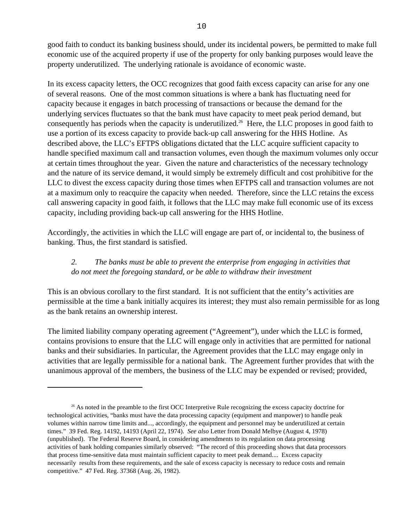good faith to conduct its banking business should, under its incidental powers, be permitted to make full economic use of the acquired property if use of the property for only banking purposes would leave the property underutilized. The underlying rationale is avoidance of economic waste.

In its excess capacity letters, the OCC recognizes that good faith excess capacity can arise for any one of several reasons. One of the most common situations is where a bank has fluctuating need for capacity because it engages in batch processing of transactions or because the demand for the underlying services fluctuates so that the bank must have capacity to meet peak period demand, but consequently has periods when the capacity is underutilized.<sup>26</sup> Here, the LLC proposes in good faith to use a portion of its excess capacity to provide back-up call answering for the HHS Hotline. As described above, the LLC's EFTPS obligations dictated that the LLC acquire sufficient capacity to handle specified maximum call and transaction volumes, even though the maximum volumes only occur at certain times throughout the year. Given the nature and characteristics of the necessary technology and the nature of its service demand, it would simply be extremely difficult and cost prohibitive for the LLC to divest the excess capacity during those times when EFTPS call and transaction volumes are not at a maximum only to reacquire the capacity when needed. Therefore, since the LLC retains the excess call answering capacity in good faith, it follows that the LLC may make full economic use of its excess capacity, including providing back-up call answering for the HHS Hotline.

Accordingly, the activities in which the LLC will engage are part of, or incidental to, the business of banking. Thus, the first standard is satisfied.

# *2. The banks must be able to prevent the enterprise from engaging in activities that do not meet the foregoing standard, or be able to withdraw their investment*

This is an obvious corollary to the first standard. It is not sufficient that the entity's activities are permissible at the time a bank initially acquires its interest; they must also remain permissible for as long as the bank retains an ownership interest.

The limited liability company operating agreement ("Agreement"), under which the LLC is formed, contains provisions to ensure that the LLC will engage only in activities that are permitted for national banks and their subsidiaries. In particular, the Agreement provides that the LLC may engage only in activities that are legally permissible for a national bank. The Agreement further provides that with the unanimous approval of the members, the business of the LLC may be expended or revised; provided,

 $^{26}$  As noted in the preamble to the first OCC Interpretive Rule recognizing the excess capacity doctrine for technological activities, "banks must have the data processing capacity (equipment and manpower) to handle peak volumes within narrow time limits and..., accordingly, the equipment and personnel may be underutilized at certain times." 39 Fed. Reg. 14192, 14193 (April 22, 1974). *See also* Letter from Donald Melbye (August 4, 1978) (unpublished). The Federal Reserve Board, in considering amendments to its regulation on data processing activities of bank holding companies similarly observed: "The record of this proceeding shows that data processors that process time-sensitive data must maintain sufficient capacity to meet peak demand.... Excess capacity necessarily results from these requirements, and the sale of excess capacity is necessary to reduce costs and remain competitive." 47 Fed. Reg. 37368 (Aug. 26, 1982).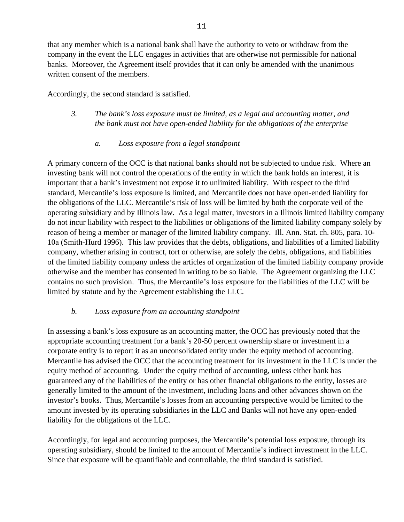that any member which is a national bank shall have the authority to veto or withdraw from the company in the event the LLC engages in activities that are otherwise not permissible for national banks. Moreover, the Agreement itself provides that it can only be amended with the unanimous written consent of the members.

Accordingly, the second standard is satisfied.

*3. The bank's loss exposure must be limited, as a legal and accounting matter, and the bank must not have open-ended liability for the obligations of the enterprise*

# *a. Loss exposure from a legal standpoint*

A primary concern of the OCC is that national banks should not be subjected to undue risk. Where an investing bank will not control the operations of the entity in which the bank holds an interest, it is important that a bank's investment not expose it to unlimited liability. With respect to the third standard, Mercantile's loss exposure is limited, and Mercantile does not have open-ended liability for the obligations of the LLC. Mercantile's risk of loss will be limited by both the corporate veil of the operating subsidiary and by Illinois law. As a legal matter, investors in a Illinois limited liability company do not incur liability with respect to the liabilities or obligations of the limited liability company solely by reason of being a member or manager of the limited liability company. Ill. Ann. Stat. ch. 805, para. 10- 10a (Smith-Hurd 1996). This law provides that the debts, obligations, and liabilities of a limited liability company, whether arising in contract, tort or otherwise, are solely the debts, obligations, and liabilities of the limited liability company unless the articles of organization of the limited liability company provide otherwise and the member has consented in writing to be so liable. The Agreement organizing the LLC contains no such provision. Thus, the Mercantile's loss exposure for the liabilities of the LLC will be limited by statute and by the Agreement establishing the LLC.

## *b. Loss exposure from an accounting standpoint*

In assessing a bank's loss exposure as an accounting matter, the OCC has previously noted that the appropriate accounting treatment for a bank's 20-50 percent ownership share or investment in a corporate entity is to report it as an unconsolidated entity under the equity method of accounting. Mercantile has advised the OCC that the accounting treatment for its investment in the LLC is under the equity method of accounting. Under the equity method of accounting, unless either bank has guaranteed any of the liabilities of the entity or has other financial obligations to the entity, losses are generally limited to the amount of the investment, including loans and other advances shown on the investor's books. Thus, Mercantile's losses from an accounting perspective would be limited to the amount invested by its operating subsidiaries in the LLC and Banks will not have any open-ended liability for the obligations of the LLC.

Accordingly, for legal and accounting purposes, the Mercantile's potential loss exposure, through its operating subsidiary, should be limited to the amount of Mercantile's indirect investment in the LLC. Since that exposure will be quantifiable and controllable, the third standard is satisfied.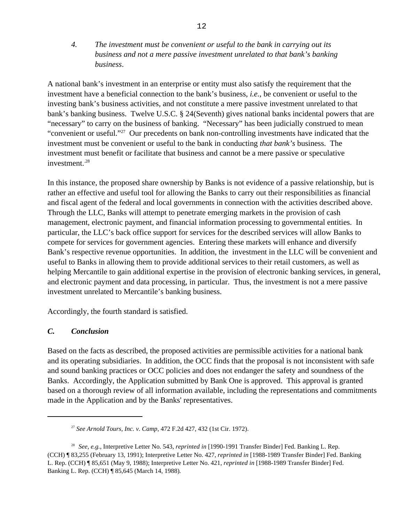*4. The investment must be convenient or useful to the bank in carrying out its business and not a mere passive investment unrelated to that bank's banking business*.

A national bank's investment in an enterprise or entity must also satisfy the requirement that the investment have a beneficial connection to the bank's business, *i.e.*, be convenient or useful to the investing bank's business activities, and not constitute a mere passive investment unrelated to that bank's banking business. Twelve U.S.C. § 24(Seventh) gives national banks incidental powers that are "necessary" to carry on the business of banking. "Necessary" has been judicially construed to mean "convenient or useful."<sup>27</sup> Our precedents on bank non-controlling investments have indicated that the investment must be convenient or useful to the bank in conducting *that bank's* business. The investment must benefit or facilitate that business and cannot be a mere passive or speculative investment.<sup>28</sup>

In this instance, the proposed share ownership by Banks is not evidence of a passive relationship, but is rather an effective and useful tool for allowing the Banks to carry out their responsibilities as financial and fiscal agent of the federal and local governments in connection with the activities described above. Through the LLC, Banks will attempt to penetrate emerging markets in the provision of cash management, electronic payment, and financial information processing to governmental entities. In particular, the LLC's back office support for services for the described services will allow Banks to compete for services for government agencies. Entering these markets will enhance and diversify Bank's respective revenue opportunities. In addition, the investment in the LLC will be convenient and useful to Banks in allowing them to provide additional services to their retail customers, as well as helping Mercantile to gain additional expertise in the provision of electronic banking services, in general, and electronic payment and data processing, in particular. Thus, the investment is not a mere passive investment unrelated to Mercantile's banking business.

Accordingly, the fourth standard is satisfied.

## *C. Conclusion*

Based on the facts as described, the proposed activities are permissible activities for a national bank and its operating subsidiaries. In addition, the OCC finds that the proposal is not inconsistent with safe and sound banking practices or OCC policies and does not endanger the safety and soundness of the Banks. Accordingly, the Application submitted by Bank One is approved. This approval is granted based on a thorough review of all information available, including the representations and commitments made in the Application and by the Banks' representatives.

<sup>&</sup>lt;sup>27</sup> See Arnold Tours, Inc. v. Camp, 472 F.2d 427, 432 (1st Cir. 1972).

*See, e.g.*, Interpretive Letter No. 543, *reprinted in* [1990-1991 Transfer Binder] Fed. Banking L. Rep. <sup>28</sup> (CCH) ¶ 83,255 (February 13, 1991); Interpretive Letter No. 427, *reprinted in* [1988-1989 Transfer Binder] Fed. Banking L. Rep. (CCH) ¶ 85,651 (May 9, 1988); Interpretive Letter No. 421, *reprinted in* [1988-1989 Transfer Binder] Fed. Banking L. Rep. (CCH) ¶ 85,645 (March 14, 1988)*.*